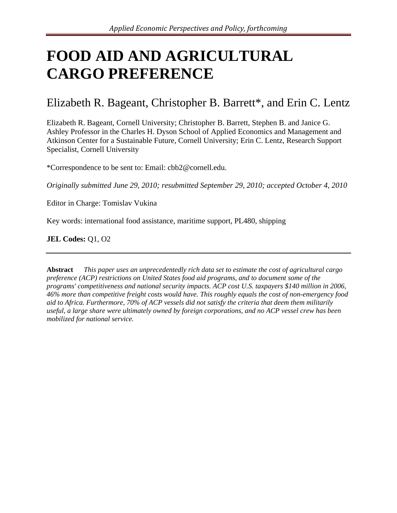# **FOOD AID AND AGRICULTURAL CARGO PREFERENCE**

# Elizabeth R. Bageant, Christopher B. Barrett\*, and Erin C. Lentz

Elizabeth R. Bageant, Cornell University; Christopher B. Barrett, Stephen B. and Janice G. Ashley Professor in the Charles H. Dyson School of Applied Economics and Management and Atkinson Center for a Sustainable Future, Cornell University; Erin C. Lentz, Research Support Specialist, Cornell University

\*Correspondence to be sent to: Email: cbb2@cornell.edu.

*Originally submitted June 29, 2010; resubmitted September 29, 2010; accepted October 4, 2010* 

Editor in Charge: Tomislav Vukina

Key words: international food assistance, maritime support, PL480, shipping

**JEL Codes:** Q1, O2

**Abstract** *This paper uses an unprecedentedly rich data set to estimate the cost of agricultural cargo preference (ACP) restrictions on United States food aid programs, and to document some of the programs' competitiveness and national security impacts. ACP cost U.S. taxpayers \$140 million in 2006, 46% more than competitive freight costs would have. This roughly equals the cost of non-emergency food aid to Africa. Furthermore, 70% of ACP vessels did not satisfy the criteria that deem them militarily useful, a large share were ultimately owned by foreign corporations, and no ACP vessel crew has been mobilized for national service.*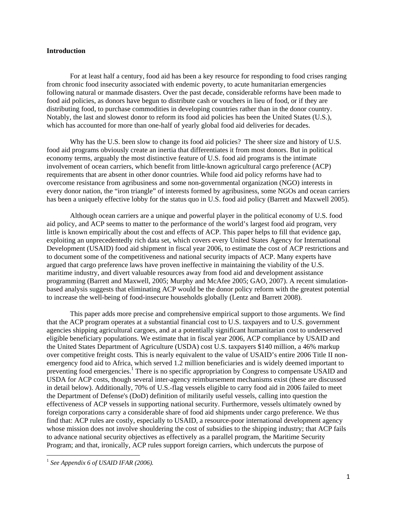## **Introduction**

For at least half a century, food aid has been a key resource for responding to food crises ranging from chronic food insecurity associated with endemic poverty, to acute humanitarian emergencies following natural or manmade disasters. Over the past decade, considerable reforms have been made to food aid policies, as donors have begun to distribute cash or vouchers in lieu of food, or if they are distributing food, to purchase commodities in developing countries rather than in the donor country. Notably, the last and slowest donor to reform its food aid policies has been the United States (U.S.), which has accounted for more than one-half of yearly global food aid deliveries for decades.

Why has the U.S. been slow to change its food aid policies? The sheer size and history of U.S. food aid programs obviously create an inertia that differentiates it from most donors. But in political economy terms, arguably the most distinctive feature of U.S. food aid programs is the intimate involvement of ocean carriers, which benefit from little-known agricultural cargo preference (ACP) requirements that are absent in other donor countries. While food aid policy reforms have had to overcome resistance from agribusiness and some non-governmental organization (NGO) interests in every donor nation, the "iron triangle" of interests formed by agribusiness, some NGOs and ocean carriers has been a uniquely effective lobby for the status quo in U.S. food aid policy (Barrett and Maxwell 2005).

Although ocean carriers are a unique and powerful player in the political economy of U.S. food aid policy, and ACP seems to matter to the performance of the world's largest food aid program, very little is known empirically about the cost and effects of ACP. This paper helps to fill that evidence gap, exploiting an unprecedentedly rich data set, which covers every United States Agency for International Development (USAID) food aid shipment in fiscal year 2006, to estimate the cost of ACP restrictions and to document some of the competitiveness and national security impacts of ACP. Many experts have argued that cargo preference laws have proven ineffective in maintaining the viability of the U.S. maritime industry, and divert valuable resources away from food aid and development assistance programming (Barrett and Maxwell, 2005; Murphy and McAfee 2005; GAO, 2007). A recent simulationbased analysis suggests that eliminating ACP would be the donor policy reform with the greatest potential to increase the well-being of food-insecure households globally (Lentz and Barrett 2008).

This paper adds more precise and comprehensive empirical support to those arguments. We find that the ACP program operates at a substantial financial cost to U.S. taxpayers and to U.S. government agencies shipping agricultural cargoes, and at a potentially significant humanitarian cost to underserved eligible beneficiary populations. We estimate that in fiscal year 2006, ACP compliance by USAID and the United States Department of Agriculture (USDA) cost U.S. taxpayers \$140 million, a 46% markup over competitive freight costs. This is nearly equivalent to the value of USAID's entire 2006 Title II nonemergency food aid to Africa, which served 1.2 million beneficiaries and is widely deemed important to preventing food emergencies.<sup>1</sup> There is no specific appropriation by Congress to compensate USAID and USDA for ACP costs, though several inter-agency reimbursement mechanisms exist (these are discussed in detail below). Additionally, 70% of U.S.-flag vessels eligible to carry food aid in 2006 failed to meet the Department of Defense's (DoD) definition of militarily useful vessels, calling into question the effectiveness of ACP vessels in supporting national security. Furthermore, vessels ultimately owned by foreign corporations carry a considerable share of food aid shipments under cargo preference. We thus find that: ACP rules are costly, especially to USAID, a resource-poor international development agency whose mission does not involve shouldering the cost of subsidies to the shipping industry; that ACP fails to advance national security objectives as effectively as a parallel program, the Maritime Security Program; and that, ironically, ACP rules support foreign carriers, which undercuts the purpose of

<sup>1</sup> *See Appendix 6 of USAID IFAR (2006).*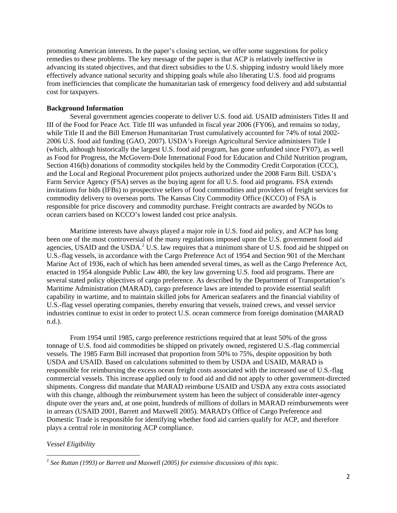promoting American interests. In the paper's closing section, we offer some suggestions for policy remedies to these problems. The key message of the paper is that ACP is relatively ineffective in advancing its stated objectives, and that direct subsidies to the U.S. shipping industry would likely more effectively advance national security and shipping goals while also liberating U.S. food aid programs from inefficiencies that complicate the humanitarian task of emergency food delivery and add substantial cost for taxpayers.

# **Background Information**

Several government agencies cooperate to deliver U.S. food aid. USAID administers Titles II and III of the Food for Peace Act. Title III was unfunded in fiscal year 2006 (FY06), and remains so today, while Title II and the Bill Emerson Humanitarian Trust cumulatively accounted for 74% of total 2002- 2006 U.S. food aid funding (GAO, 2007). USDA's Foreign Agricultural Service administers Title I (which, although historically the largest U.S. food aid program, has gone unfunded since FY07), as well as Food for Progress, the McGovern-Dole International Food for Education and Child Nutrition program, Section 416(b) donations of commodity stockpiles held by the Commodity Credit Corporation (CCC), and the Local and Regional Procurement pilot projects authorized under the 2008 Farm Bill. USDA's Farm Service Agency (FSA) serves as the buying agent for all U.S. food aid programs. FSA extends invitations for bids (IFBs) to prospective sellers of food commodities and providers of freight services for commodity delivery to overseas ports. The Kansas City Commodity Office (KCCO) of FSA is responsible for price discovery and commodity purchase. Freight contracts are awarded by NGOs to ocean carriers based on KCCO's lowest landed cost price analysis.

Maritime interests have always played a major role in U.S. food aid policy, and ACP has long been one of the most controversial of the many regulations imposed upon the U.S. government food aid agencies, USAID and the USDA.<sup>2</sup> U.S. law requires that a minimum share of U.S. food aid be shipped on U.S.-flag vessels, in accordance with the Cargo Preference Act of 1954 and Section 901 of the Merchant Marine Act of 1936, each of which has been amended several times, as well as the Cargo Preference Act, enacted in 1954 alongside Public Law 480, the key law governing U.S. food aid programs. There are several stated policy objectives of cargo preference. As described by the Department of Transportation's Maritime Administration (MARAD), cargo preference laws are intended to provide essential sealift capability in wartime, and to maintain skilled jobs for American seafarers and the financial viability of U.S.-flag vessel operating companies, thereby ensuring that vessels, trained crews, and vessel service industries continue to exist in order to protect U.S. ocean commerce from foreign domination (MARAD n.d.).

From 1954 until 1985, cargo preference restrictions required that at least 50% of the gross tonnage of U.S. food aid commodities be shipped on privately owned, registered U.S.-flag commercial vessels. The 1985 Farm Bill increased that proportion from 50% to 75%, despite opposition by both USDA and USAID. Based on calculations submitted to them by USDA and USAID, MARAD is responsible for reimbursing the excess ocean freight costs associated with the increased use of U.S.-flag commercial vessels. This increase applied only to food aid and did not apply to other government-directed shipments. Congress did mandate that MARAD reimburse USAID and USDA any extra costs associated with this change, although the reimbursement system has been the subject of considerable inter-agency dispute over the years and, at one point, hundreds of millions of dollars in MARAD reimbursements were in arrears (USAID 2001, Barrett and Maxwell 2005). MARAD's Office of Cargo Preference and Domestic Trade is responsible for identifying whether food aid carriers qualify for ACP, and therefore plays a central role in monitoring ACP compliance.

# *Vessel Eligibility*

<sup>2</sup> *See Ruttan (1993) or Barrett and Maxwell (2005) for extensive discussions of this topic.*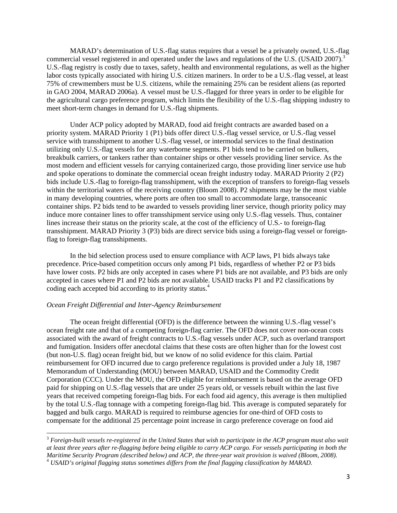MARAD's determination of U.S.-flag status requires that a vessel be a privately owned, U.S.-flag commercial vessel registered in and operated under the laws and regulations of the U.S. (USAID 2007).<sup>3</sup> U.S.-flag registry is costly due to taxes, safety, health and environmental regulations, as well as the higher labor costs typically associated with hiring U.S. citizen mariners. In order to be a U.S.-flag vessel, at least 75% of crewmembers must be U.S. citizens, while the remaining 25% can be resident aliens (as reported in GAO 2004, MARAD 2006a). A vessel must be U.S.-flagged for three years in order to be eligible for the agricultural cargo preference program, which limits the flexibility of the U.S.-flag shipping industry to meet short-term changes in demand for U.S.-flag shipments.

Under ACP policy adopted by MARAD, food aid freight contracts are awarded based on a priority system. MARAD Priority 1 (P1) bids offer direct U.S.-flag vessel service, or U.S.-flag vessel service with transshipment to another U.S.-flag vessel, or intermodal services to the final destination utilizing only U.S.-flag vessels for any waterborne segments. P1 bids tend to be carried on bulkers, breakbulk carriers, or tankers rather than container ships or other vessels providing liner service. As the most modern and efficient vessels for carrying containerized cargo, those providing liner service use hub and spoke operations to dominate the commercial ocean freight industry today. MARAD Priority 2 (P2) bids include U.S.-flag to foreign-flag transshipment, with the exception of transfers to foreign-flag vessels within the territorial waters of the receiving country (Bloom 2008). P2 shipments may be the most viable in many developing countries, where ports are often too small to accommodate large, transoceanic container ships. P2 bids tend to be awarded to vessels providing liner service, though priority policy may induce more container lines to offer transshipment service using only U.S.-flag vessels. Thus, container lines increase their status on the priority scale, at the cost of the efficiency of U.S.- to foreign-flag transshipment. MARAD Priority 3 (P3) bids are direct service bids using a foreign-flag vessel or foreignflag to foreign-flag transshipments.

In the bid selection process used to ensure compliance with ACP laws, P1 bids always take precedence. Price-based competition occurs only among P1 bids, regardless of whether P2 or P3 bids have lower costs. P2 bids are only accepted in cases where P1 bids are not available, and P3 bids are only accepted in cases where P1 and P2 bids are not available. USAID tracks P1 and P2 classifications by coding each accepted bid according to its priority status.<sup>4</sup>

## *Ocean Freight Differential and Inter-Agency Reimbursement*

The ocean freight differential (OFD) is the difference between the winning U.S.-flag vessel's ocean freight rate and that of a competing foreign-flag carrier. The OFD does not cover non-ocean costs associated with the award of freight contracts to U.S.-flag vessels under ACP, such as overland transport and fumigation. Insiders offer anecdotal claims that these costs are often higher than for the lowest cost (but non-U.S. flag) ocean freight bid, but we know of no solid evidence for this claim. Partial reimbursement for OFD incurred due to cargo preference regulations is provided under a July 18, 1987 Memorandum of Understanding (MOU) between MARAD, USAID and the Commodity Credit Corporation (CCC). Under the MOU, the OFD eligible for reimbursement is based on the average OFD paid for shipping on U.S.-flag vessels that are under 25 years old, or vessels rebuilt within the last five years that received competing foreign-flag bids. For each food aid agency, this average is then multiplied by the total U.S.-flag tonnage with a competing foreign-flag bid. This average is computed separately for bagged and bulk cargo. MARAD is required to reimburse agencies for one-third of OFD costs to compensate for the additional 25 percentage point increase in cargo preference coverage on food aid

<sup>3</sup> *Foreign-built vessels re-registered in the United States that wish to participate in the ACP program must also wait at least three years after re-flagging before being eligible to carry ACP cargo. For vessels participating in both the Maritime Security Program (described below) and ACP, the three-year wait provision is waived (Bloom, 2008).* <sup>4</sup> *USAID's original flagging status sometimes differs from the final flagging classification by MARAD.*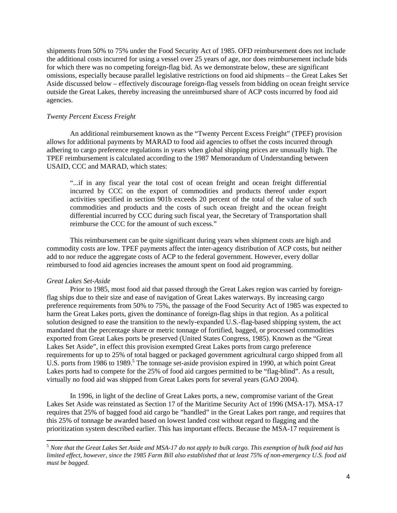shipments from 50% to 75% under the Food Security Act of 1985. OFD reimbursement does not include the additional costs incurred for using a vessel over 25 years of age, nor does reimbursement include bids for which there was no competing foreign-flag bid. As we demonstrate below, these are significant omissions, especially because parallel legislative restrictions on food aid shipments – the Great Lakes Set Aside discussed below – effectively discourage foreign-flag vessels from bidding on ocean freight service outside the Great Lakes, thereby increasing the unreimbursed share of ACP costs incurred by food aid agencies.

## *Twenty Percent Excess Freight*

An additional reimbursement known as the "Twenty Percent Excess Freight" (TPEF) provision allows for additional payments by MARAD to food aid agencies to offset the costs incurred through adhering to cargo preference regulations in years when global shipping prices are unusually high. The TPEF reimbursement is calculated according to the 1987 Memorandum of Understanding between USAID, CCC and MARAD, which states:

"...if in any fiscal year the total cost of ocean freight and ocean freight differential incurred by CCC on the export of commodities and products thereof under export activities specified in section 901b exceeds 20 percent of the total of the value of such commodities and products and the costs of such ocean freight and the ocean freight differential incurred by CCC during such fiscal year, the Secretary of Transportation shall reimburse the CCC for the amount of such excess."

This reimbursement can be quite significant during years when shipment costs are high and commodity costs are low. TPEF payments affect the inter-agency distribution of ACP costs, but neither add to nor reduce the aggregate costs of ACP to the federal government. However, every dollar reimbursed to food aid agencies increases the amount spent on food aid programming.

# *Great Lakes Set-Aside*

Prior to 1985, most food aid that passed through the Great Lakes region was carried by foreignflag ships due to their size and ease of navigation of Great Lakes waterways. By increasing cargo preference requirements from 50% to 75%, the passage of the Food Security Act of 1985 was expected to harm the Great Lakes ports, given the dominance of foreign-flag ships in that region. As a political solution designed to ease the transition to the newly-expanded U.S.-flag-based shipping system, the act mandated that the percentage share or metric tonnage of fortified, bagged, or processed commodities exported from Great Lakes ports be preserved (United States Congress, 1985). Known as the "Great Lakes Set Aside", in effect this provision exempted Great Lakes ports from cargo preference requirements for up to 25% of total bagged or packaged government agricultural cargo shipped from all U.S. ports from 1986 to 1989.<sup>5</sup> The tonnage set-aside provision expired in 1990, at which point Great Lakes ports had to compete for the 25% of food aid cargoes permitted to be "flag-blind". As a result, virtually no food aid was shipped from Great Lakes ports for several years (GAO 2004).

In 1996, in light of the decline of Great Lakes ports, a new, compromise variant of the Great Lakes Set Aside was reinstated as Section 17 of the Maritime Security Act of 1996 (MSA-17). MSA-17 requires that 25% of bagged food aid cargo be "handled" in the Great Lakes port range, and requires that this 25% of tonnage be awarded based on lowest landed cost without regard to flagging and the prioritization system described earlier. This has important effects. Because the MSA-17 requirement is

<sup>5</sup> *Note that the Great Lakes Set Aside and MSA-17 do not apply to bulk cargo. This exemption of bulk food aid has limited effect, however, since the 1985 Farm Bill also established that at least 75% of non-emergency U.S. food aid must be bagged.*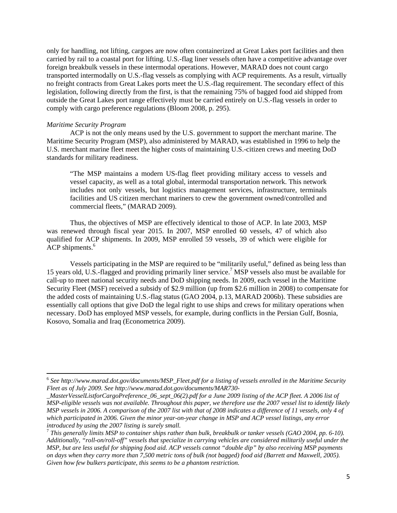only for handling, not lifting, cargoes are now often containerized at Great Lakes port facilities and then carried by rail to a coastal port for lifting. U.S.-flag liner vessels often have a competitive advantage over foreign breakbulk vessels in these intermodal operations. However, MARAD does not count cargo transported intermodally on U.S.-flag vessels as complying with ACP requirements. As a result, virtually no freight contracts from Great Lakes ports meet the U.S.-flag requirement. The secondary effect of this legislation, following directly from the first, is that the remaining 75% of bagged food aid shipped from outside the Great Lakes port range effectively must be carried entirely on U.S.-flag vessels in order to comply with cargo preference regulations (Bloom 2008, p. 295).

#### *Maritime Security Program*

ACP is not the only means used by the U.S. government to support the merchant marine. The Maritime Security Program (MSP), also administered by MARAD, was established in 1996 to help the U.S. merchant marine fleet meet the higher costs of maintaining U.S.-citizen crews and meeting DoD standards for military readiness.

"The MSP maintains a modern US-flag fleet providing military access to vessels and vessel capacity, as well as a total global, intermodal transportation network. This network includes not only vessels, but logistics management services, infrastructure, terminals facilities and US citizen merchant mariners to crew the government owned/controlled and commercial fleets," (MARAD 2009).

Thus, the objectives of MSP are effectively identical to those of ACP. In late 2003, MSP was renewed through fiscal year 2015. In 2007, MSP enrolled 60 vessels, 47 of which also qualified for ACP shipments. In 2009, MSP enrolled 59 vessels, 39 of which were eligible for  $\rm ACP$  shipments.<sup>6</sup>

Vessels participating in the MSP are required to be "militarily useful," defined as being less than 15 years old, U.S.-flagged and providing primarily liner service.<sup>7</sup> MSP vessels also must be available for call-up to meet national security needs and DoD shipping needs. In 2009, each vessel in the Maritime Security Fleet (MSF) received a subsidy of \$2.9 million (up from \$2.6 million in 2008) to compensate for the added costs of maintaining U.S.-flag status (GAO 2004, p.13, MARAD 2006b). These subsidies are essentially call options that give DoD the legal right to use ships and crews for military operations when necessary. DoD has employed MSP vessels, for example, during conflicts in the Persian Gulf, Bosnia, Kosovo, Somalia and Iraq (Econometrica 2009).

<sup>6</sup> *See http://www.marad.dot.gov/documents/MSP\_Fleet.pdf for a listing of vessels enrolled in the Maritime Security Fleet as of July 2009. See http://www.marad.dot.gov/documents/MAR730-*

*\_MasterVesselListforCargoPreference\_06\_sept\_06(2).pdf for a June 2009 listing of the ACP fleet. A 2006 list of MSP-eligible vessels was not available. Throughout this paper, we therefore use the 2007 vessel list to identify likely MSP vessels in 2006. A comparison of the 2007 list with that of 2008 indicates a difference of 11 vessels, only 4 of which participated in 2006. Given the minor year-on-year change in MSP and ACP vessel listings, any error introduced by using the 2007 listing is surely small.* 

<sup>7</sup> *This generally limits MSP to container ships rather than bulk, breakbulk or tanker vessels (GAO 2004, pp. 6-10). Additionally, "roll-on/roll-off" vessels that specialize in carrying vehicles are considered militarily useful under the MSP, but are less useful for shipping food aid. ACP vessels cannot "double dip" by also receiving MSP payments on days when they carry more than 7,500 metric tons of bulk (not bagged) food aid (Barrett and Maxwell, 2005). Given how few bulkers participate, this seems to be a phantom restriction.*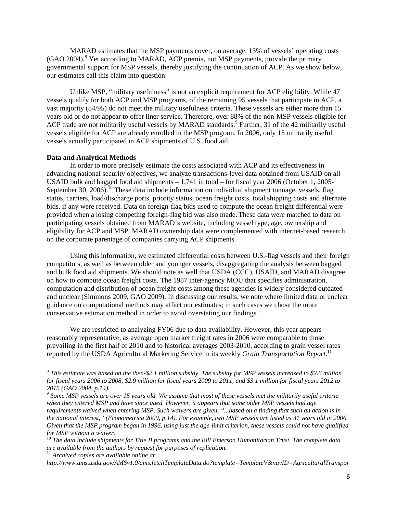MARAD estimates that the MSP payments cover, on average, 13% of vessels' operating costs (GAO 2004).<sup>8</sup> Yet according to MARAD, ACP premia, not MSP payments, provide the primary governmental support for MSP vessels, thereby justifying the continuation of ACP. As we show below, our estimates call this claim into question.

Unlike MSP, "military usefulness" is not an explicit requirement for ACP eligibility. While 47 vessels qualify for both ACP and MSP programs, of the remaining 95 vessels that participate in ACP, a vast majority (84/95) do not meet the military usefulness criteria. These vessels are either more than 15 years old or do not appear to offer liner service. Therefore, over 88% of the non-MSP vessels eligible for ACP trade are not militarily useful vessels by MARAD standards.<sup>9</sup> Further, 31 of the 42 militarily useful vessels eligible for ACP are already enrolled in the MSP program. In 2006, only 15 militarily useful vessels actually participated in ACP shipments of U.S. food aid.

#### **Data and Analytical Methods**

In order to more precisely estimate the costs associated with ACP and its effectiveness in advancing national security objectives, we analyze transactions-level data obtained from USAID on all USAID bulk and bagged food aid shipments – 1,741 in total – for fiscal year 2006 (October 1, 2005- September 30, 2006).<sup>10</sup> These data include information on individual shipment tonnage, vessels, flag status, carriers, load/discharge ports, priority status, ocean freight costs, total shipping costs and alternate bids, if any were received. Data on foreign-flag bids used to compute the ocean freight differential were provided when a losing competing foreign-flag bid was also made. These data were matched to data on participating vessels obtained from MARAD's website, including vessel type, age, ownership and eligibility for ACP and MSP. MARAD ownership data were complemented with internet-based research on the corporate parentage of companies carrying ACP shipments.

Using this information, we estimated differential costs between U.S.-flag vessels and their foreign competitors, as well as between older and younger vessels, disaggregating the analysis between bagged and bulk food aid shipments. We should note as well that USDA (CCC), USAID, and MARAD disagree on how to compute ocean freight costs. The 1987 inter-agency MOU that specifies administration, computation and distribution of ocean freight costs among these agencies is widely considered outdated and unclear (Simmons 2009, GAO 2009). In discussing our results, we note where limited data or unclear guidance on computational methods may affect our estimates; in such cases we chose the more conservative estimation method in order to avoid overstating our findings.

We are restricted to analyzing FY06 due to data availability. However, this year appears reasonably representative, as average open market freight rates in 2006 were comparable to those prevailing in the first half of 2010 and to historical averages 2003-2010, according to grain vessel rates reported by the USDA Agricultural Marketing Service in its weekly *Grain Transportation Report*. 11

<sup>8</sup> *This estimate was based on the then-\$2.1 million subsidy. The subsidy for MSP vessels increased to \$2.6 million for fiscal years 2006 to 2008, \$2.9 million for fiscal years 2009 to 2011, and \$3.1 million for fiscal years 2012 to 2015 (GAO 2004, p.14).*

<sup>9</sup> *Some MSP vessels are over 15 years old. We assume that most of these vessels met the militarily useful criteria when they entered MSP and have since aged. However, it appears that some older MSP vessels had age requirements waived when entering MSP. Such waivers are given, "...based on a finding that such an action is in the national interest," (Econometrica 2009, p.14). For example, two MSP vessels are listed as 31 years old in 2006. Given that the MSP program began in 1996, using just the age-limit criterion, these vessels could not have qualified for MSP without a waiver.*<br><sup>10</sup> *The data include shipments for Title II programs and the Bill Emerson Humanitarian Trust. The complete data* 

*are available from the authors by request for purposes of replication.* 11 *Archived copies are available online at* 

*http://www.ams.usda.gov/AMSv1.0/ams.fetchTemplateData.do?template=TemplateV&navID=AgriculturalTranspor*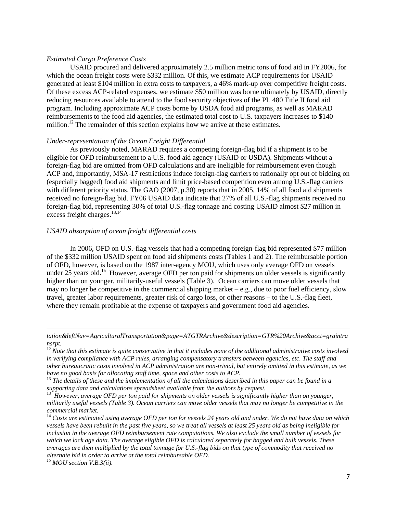#### *Estimated Cargo Preference Costs*

USAID procured and delivered approximately 2.5 million metric tons of food aid in FY2006, for which the ocean freight costs were \$332 million. Of this, we estimate ACP requirements for USAID generated at least \$104 million in extra costs to taxpayers, a 46% mark-up over competitive freight costs. Of these excess ACP-related expenses, we estimate \$50 million was borne ultimately by USAID, directly reducing resources available to attend to the food security objectives of the PL 480 Title II food aid program. Including approximate ACP costs borne by USDA food aid programs, as well as MARAD reimbursements to the food aid agencies, the estimated total cost to U.S. taxpayers increases to \$140 million.<sup>12</sup> The remainder of this section explains how we arrive at these estimates.

### *Under-representation of the Ocean Freight Differential*

As previously noted, MARAD requires a competing foreign-flag bid if a shipment is to be eligible for OFD reimbursement to a U.S. food aid agency (USAID or USDA). Shipments without a foreign-flag bid are omitted from OFD calculations and are ineligible for reimbursement even though ACP and, importantly, MSA-17 restrictions induce foreign-flag carriers to rationally opt out of bidding on (especially bagged) food aid shipments and limit price-based competition even among U.S.-flag carriers with different priority status. The GAO (2007, p.30) reports that in 2005, 14% of all food aid shipments received no foreign-flag bid. FY06 USAID data indicate that 27% of all U.S.-flag shipments received no foreign-flag bid, representing 30% of total U.S.-flag tonnage and costing USAID almost \$27 million in excess freight charges.<sup>13,14</sup>

# *USAID absorption of ocean freight differential costs*

In 2006, OFD on U.S.-flag vessels that had a competing foreign-flag bid represented \$77 million of the \$332 million USAID spent on food aid shipments costs (Tables 1 and 2). The reimbursable portion of OFD, however, is based on the 1987 inter-agency MOU, which uses only average OFD on vessels under 25 years old.<sup>15</sup> However, average OFD per ton paid for shipments on older vessels is significantly higher than on younger, militarily-useful vessels (Table 3). Ocean carriers can move older vessels that may no longer be competitive in the commercial shipping market  $-e.g.,$  due to poor fuel efficiency, slow travel, greater labor requirements, greater risk of cargo loss, or other reasons – to the U.S.-flag fleet, where they remain profitable at the expense of taxpayers and government food aid agencies.

<sup>&</sup>lt;u> 1989 - Johann Stein, marwolaethau a gweledydd a ganlad y ganlad y ganlad y ganlad y ganlad y ganlad y ganlad</u> *tation&leftNav=AgriculturalTransportation&page=ATGTRArchive&description=GTR%20Archive&acct=graintra nsrpt.*

<sup>&</sup>lt;sup>12</sup> Note that this estimate is quite conservative in that it includes none of the additional administrative costs involved *in verifying compliance with ACP rules, arranging compensatory transfers between agencies, etc. The staff and other bureaucratic costs involved in ACP administration are non-trivial, but entirely omitted in this estimate, as we have no good basis for allocating staff time, space and other costs to ACP.*

<sup>&</sup>lt;sup>13</sup> The details of these and the implementation of all the calculations described in this paper can be found in a *supporting data and calculations spreadsheet available from the authors by request.*

<sup>&</sup>lt;sup>13</sup> However, average OFD per ton paid for shipments on older vessels is significantly higher than on younger, *militarily useful vessels (Table 3). Ocean carriers can move older vessels that may no longer be competitive in the commercial market.*

<sup>14</sup> *Costs are estimated using average OFD per ton for vessels 24 years old and under. We do not have data on which vessels have been rebuilt in the past five years, so we treat all vessels at least 25 years old as being ineligible for inclusion in the average OFD reimbursement rate computations. We also exclude the small number of vessels for which we lack age data. The average eligible OFD is calculated separately for bagged and bulk vessels. These averages are then multiplied by the total tonnage for U.S.-flag bids on that type of commodity that received no alternate bid in order to arrive at the total reimbursable OFD.*

*<sup>15</sup> MOU section V.B.3(ii).*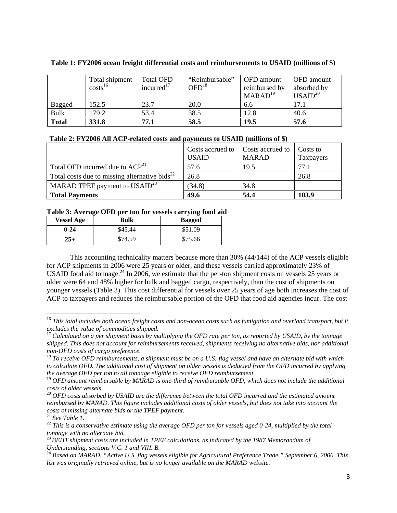|               | Total shipment | <b>Total OFD</b> | "Reimbursable"    | OFD amount          | OFD amount          |
|---------------|----------------|------------------|-------------------|---------------------|---------------------|
|               | $\cos(s^{16})$ | incurred $17$    | $\text{OFD}^{18}$ | reimbursed by       | absorbed by         |
|               |                |                  |                   | MARAD <sup>19</sup> | USAID <sup>20</sup> |
| <b>Bagged</b> | 152.5          | 23.7             | 20.0              | 6.6                 | 17.1                |
| <b>Bulk</b>   | 179.2          | 53.4             | 38.5              | 12.8                | 40.6                |
| <b>Total</b>  | 331.8          | 77.1             | 58.5              | 19.5                | 57.6                |

# **Table 1: FY2006 ocean freight differential costs and reimbursements to USAID (millions of \$)**

# **Table 2: FY2006 All ACP-related costs and payments to USAID (millions of \$)**

|                                                           | <b>USAID</b> | Costs accrued to Costs accrued to<br><b>MARAD</b> | Costs to<br>Taxpayers |
|-----------------------------------------------------------|--------------|---------------------------------------------------|-----------------------|
| Total OFD incurred due to ACP <sup>21</sup>               | 57.6         | 19.5                                              | 77.1                  |
| Total costs due to missing alternative bids <sup>22</sup> | 26.8         |                                                   | 26.8                  |
| MARAD TPEF payment to USAID <sup>23</sup>                 | (34.8)       | 34.8                                              |                       |
| <b>Total Payments</b>                                     | 49.6         | 54.4                                              | 103.9                 |

# **Table 3: Average OFD per ton for vessels carrying food aid**

| <b>Vessel Age</b> | Bulk    | <b>Bagged</b> |
|-------------------|---------|---------------|
| $0 - 24$          | \$45.44 | \$51.09       |
| $25 +$            | \$74.59 | \$75.66       |

This accounting technicality matters because more than 30% (44/144) of the ACP vessels eligible for ACP shipments in 2006 were 25 years or older, and these vessels carried approximately 23% of USAID food aid tonnage.<sup>24</sup> In 2006, we estimate that the per-ton shipment costs on vessels 25 years or older were 64 and 48% higher for bulk and bagged cargo, respectively, than the cost of shipments on younger vessels (Table 3). This cost differential for vessels over 25 years of age both increases the cost of ACP to taxpayers and reduces the reimbursable portion of the OFD that food aid agencies incur. The cost

<sup>&</sup>lt;sup>16</sup> This total includes both ocean freight costs and non-ocean costs such as fumigation and overland transport, but it *excludes the value of commodities shipped.*

<sup>17</sup> *Calculated on a per shipment basis by multiplying the OFD rate per ton, as reported by USAID, by the tonnage shipped. This does not account for reimbursements received, shipments receiving no alternative bids, nor additional non-OFD costs of cargo preference.*

<sup>18</sup> *To receive OFD reimbursements, a shipment must be on a U.S.-flag vessel and have an alternate bid with which to calculate OFD. The additional cost of shipment on older vessels is deducted from the OFD incurred by applying the average OFD per ton to all tonnage eligible to receive OFD reimbursement.*

<sup>19</sup> *OFD amount reimbursable by MARAD is one-third of reimbursable OFD, which does not include the additional costs of older vessels.*

<sup>&</sup>lt;sup>20</sup> *OFD costs absorbed by USAID are the difference between the total OFD incurred and the estimated amount* reimbursed by MARAD. This figure includes additional costs of older vessels, but does not take into account the *costs of missing alternate bids or the TPEF payment.*

<sup>&</sup>lt;sup>22</sup> *This is a conservative estimate using the average OFD per ton for vessels aged 0-24, multiplied by the total tonnage with no alternate bid.* 

<sup>&</sup>lt;sup>23</sup> *BEHT shipment costs are included in TPEF calculations, as indicated by the 1987 Memorandum of Understanding, sections V.C. 1 and VIII. B.*

<sup>24</sup> *Based on MARAD, "Active U.S. flag vessels eligible for Agricultural Preference Trade," September 6, 2006. This list was originally retrieved online, but is no longer available on the MARAD website.*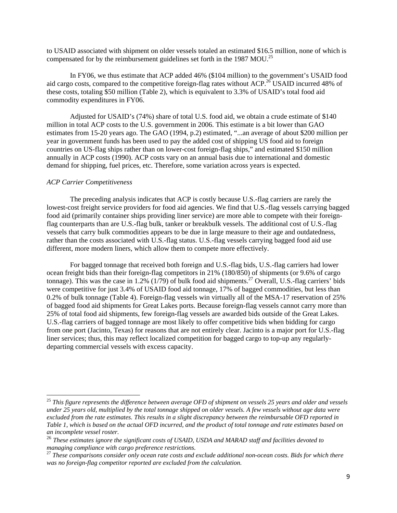to USAID associated with shipment on older vessels totaled an estimated \$16.5 million, none of which is compensated for by the reimbursement guidelines set forth in the 1987 MOU.<sup>25</sup>

In FY06, we thus estimate that ACP added 46% (\$104 million) to the government's USAID food aid cargo costs, compared to the competitive foreign-flag rates without ACP.<sup>26</sup> USAID incurred 48% of these costs, totaling \$50 million (Table 2), which is equivalent to 3.3% of USAID's total food aid commodity expenditures in FY06.

Adjusted for USAID's (74%) share of total U.S. food aid, we obtain a crude estimate of \$140 million in total ACP costs to the U.S. government in 2006. This estimate is a bit lower than GAO estimates from 15-20 years ago. The GAO (1994, p.2) estimated, "...an average of about \$200 million per year in government funds has been used to pay the added cost of shipping US food aid to foreign countries on US-flag ships rather than on lower-cost foreign-flag ships," and estimated \$150 million annually in ACP costs (1990). ACP costs vary on an annual basis due to international and domestic demand for shipping, fuel prices, etc. Therefore, some variation across years is expected.

#### *ACP Carrier Competitiveness*

The preceding analysis indicates that ACP is costly because U.S.-flag carriers are rarely the lowest-cost freight service providers for food aid agencies. We find that U.S.-flag vessels carrying bagged food aid (primarily container ships providing liner service) are more able to compete with their foreignflag counterparts than are U.S.-flag bulk, tanker or breakbulk vessels. The additional cost of U.S.-flag vessels that carry bulk commodities appears to be due in large measure to their age and outdatedness, rather than the costs associated with U.S.-flag status. U.S.-flag vessels carrying bagged food aid use different, more modern liners, which allow them to compete more effectively.

For bagged tonnage that received both foreign and U.S.-flag bids, U.S.-flag carriers had lower ocean freight bids than their foreign-flag competitors in 21% (180/850) of shipments (or 9.6% of cargo tonnage). This was the case in 1.2% (1/79) of bulk food aid shipments.<sup>27</sup> Overall, U.S.-flag carriers' bids were competitive for just 3.4% of USAID food aid tonnage, 17% of bagged commodities, but less than 0.2% of bulk tonnage (Table 4). Foreign-flag vessels win virtually all of the MSA-17 reservation of 25% of bagged food aid shipments for Great Lakes ports. Because foreign-flag vessels cannot carry more than 25% of total food aid shipments, few foreign-flag vessels are awarded bids outside of the Great Lakes. U.S.-flag carriers of bagged tonnage are most likely to offer competitive bids when bidding for cargo from one port (Jacinto, Texas) for reasons that are not entirely clear. Jacinto is a major port for U.S.-flag liner services; thus, this may reflect localized competition for bagged cargo to top-up any regularlydeparting commercial vessels with excess capacity.

<sup>25</sup> *This figure represents the difference between average OFD of shipment on vessels 25 years and older and vessels under 25 years old, multiplied by the total tonnage shipped on older vessels. A few vessels without age data were excluded from the rate estimates. This results in a slight discrepancy between the reimbursable OFD reported in Table 1, which is based on the actual OFD incurred, and the product of total tonnage and rate estimates based on* 

*an incomplete vessel roster.* 26 *These estimates ignore the significant costs of USAID, USDA and MARAD staff and facilities devoted to* 

*managing compliance with cargo preference restrictions.* <sup>27</sup> *These comparisons consider only ocean rate costs and exclude additional non-ocean costs. Bids for which there was no foreign-flag competitor reported are excluded from the calculation.*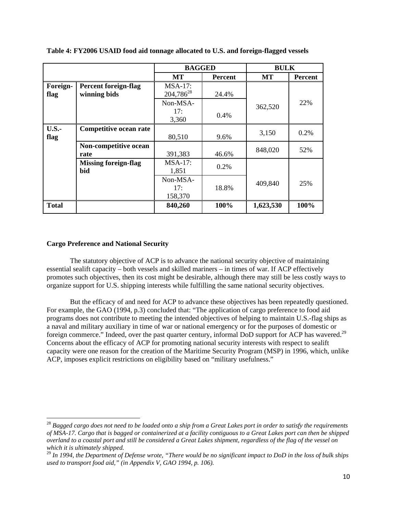|              |                             | <b>BAGGED</b>  |                | <b>BULK</b> |                |
|--------------|-----------------------------|----------------|----------------|-------------|----------------|
|              |                             | MT             | <b>Percent</b> | MT          | <b>Percent</b> |
| Foreign-     | <b>Percent foreign-flag</b> | $MSA-17$ :     |                |             |                |
| flag         | winning bids                | $204,786^{28}$ | 24.4%          |             |                |
|              |                             | Non-MSA-       |                | 362,520     | 22%            |
|              |                             | 17:            | 0.4%           |             |                |
|              |                             | 3,360          |                |             |                |
| <b>U.S.-</b> | Competitive ocean rate      |                |                | 3,150       | 0.2%           |
| flag         |                             | 80,510         | 9.6%           |             |                |
|              | Non-competitive ocean       |                |                | 848,020     | 52%            |
|              | rate                        | 391,383        | 46.6%          |             |                |
|              | <b>Missing foreign-flag</b> | $MSA-17:$      | 0.2%           |             |                |
|              | bid                         | 1,851          |                |             |                |
|              |                             | Non-MSA-       |                | 409,840     | 25%            |
|              |                             | 17:            | 18.8%          |             |                |
|              |                             | 158,370        |                |             |                |
| <b>Total</b> |                             | 840,260        | 100%           | 1,623,530   | 100%           |

**Table 4: FY2006 USAID food aid tonnage allocated to U.S. and foreign-flagged vessels** 

# **Cargo Preference and National Security**

The statutory objective of ACP is to advance the national security objective of maintaining essential sealift capacity – both vessels and skilled mariners – in times of war. If ACP effectively promotes such objectives, then its cost might be desirable, although there may still be less costly ways to organize support for U.S. shipping interests while fulfilling the same national security objectives.

But the efficacy of and need for ACP to advance these objectives has been repeatedly questioned. For example, the GAO (1994, p.3) concluded that: "The application of cargo preference to food aid programs does not contribute to meeting the intended objectives of helping to maintain U.S.-flag ships as a naval and military auxiliary in time of war or national emergency or for the purposes of domestic or foreign commerce." Indeed, over the past quarter century, informal DoD support for ACP has wavered.<sup>29</sup> Concerns about the efficacy of ACP for promoting national security interests with respect to sealift capacity were one reason for the creation of the Maritime Security Program (MSP) in 1996, which, unlike ACP, imposes explicit restrictions on eligibility based on "military usefulness."

<sup>&</sup>lt;sup>28</sup> Bagged cargo does not need to be loaded onto a ship from a Great Lakes port in order to satisfy the requirements *of MSA-17. Cargo that is bagged or containerized at a facility contiguous to a Great Lakes port can then be shipped overland to a coastal port and still be considered a Great Lakes shipment, regardless of the flag of the vessel on* 

*which it is ultimately shipped.* 29 *In 1994, the Department of Defense wrote, "There would be no significant impact to DoD in the loss of bulk ships used to transport food aid," (in Appendix V, GAO 1994, p. 106).*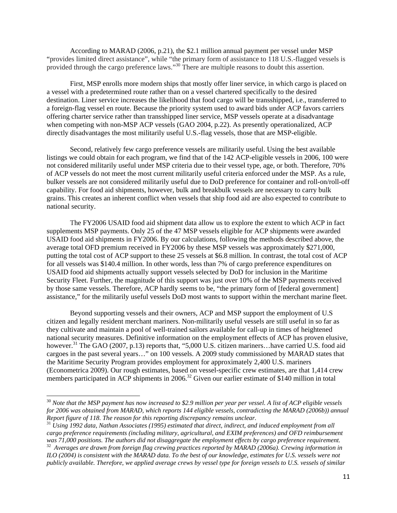According to MARAD (2006, p.21), the \$2.1 million annual payment per vessel under MSP "provides limited direct assistance", while "the primary form of assistance to 118 U.S.-flagged vessels is provided through the cargo preference laws."<sup>30</sup> There are multiple reasons to doubt this assertion.

 First, MSP enrolls more modern ships that mostly offer liner service, in which cargo is placed on a vessel with a predetermined route rather than on a vessel chartered specifically to the desired destination. Liner service increases the likelihood that food cargo will be transshipped, i.e., transferred to a foreign-flag vessel en route. Because the priority system used to award bids under ACP favors carriers offering charter service rather than transshipped liner service, MSP vessels operate at a disadvantage when competing with non-MSP ACP vessels (GAO 2004, p.22). As presently operationalized, ACP directly disadvantages the most militarily useful U.S.-flag vessels, those that are MSP-eligible.

Second, relatively few cargo preference vessels are militarily useful. Using the best available listings we could obtain for each program, we find that of the 142 ACP-eligible vessels in 2006, 100 were not considered militarily useful under MSP criteria due to their vessel type, age, or both. Therefore, 70% of ACP vessels do not meet the most current militarily useful criteria enforced under the MSP. As a rule, bulker vessels are not considered militarily useful due to DoD preference for container and roll-on/roll-off capability. For food aid shipments, however, bulk and breakbulk vessels are necessary to carry bulk grains. This creates an inherent conflict when vessels that ship food aid are also expected to contribute to national security.

The FY2006 USAID food aid shipment data allow us to explore the extent to which ACP in fact supplements MSP payments. Only 25 of the 47 MSP vessels eligible for ACP shipments were awarded USAID food aid shipments in FY2006. By our calculations, following the methods described above, the average total OFD premium received in FY2006 by these MSP vessels was approximately \$271,000, putting the total cost of ACP support to these 25 vessels at \$6.8 million. In contrast, the total cost of ACP for all vessels was \$140.4 million. In other words, less than 7% of cargo preference expenditures on USAID food aid shipments actually support vessels selected by DoD for inclusion in the Maritime Security Fleet. Further, the magnitude of this support was just over 10% of the MSP payments received by those same vessels. Therefore, ACP hardly seems to be, "the primary form of [federal government] assistance," for the militarily useful vessels DoD most wants to support within the merchant marine fleet.

Beyond supporting vessels and their owners, ACP and MSP support the employment of U.S citizen and legally resident merchant mariners. Non-militarily useful vessels are still useful in so far as they cultivate and maintain a pool of well-trained sailors available for call-up in times of heightened national security measures. Definitive information on the employment effects of ACP has proven elusive, however.<sup>31</sup> The GAO (2007, p.13) reports that, "5,000 U.S. citizen mariners...have carried U.S. food aid cargoes in the past several years…" on 100 vessels. A 2009 study commissioned by MARAD states that the Maritime Security Program provides employment for approximately 2,400 U.S. mariners (Econometrica 2009). Our rough estimates, based on vessel-specific crew estimates, are that 1,414 crew members participated in ACP shipments in 2006.<sup>32</sup> Given our earlier estimate of \$140 million in total

<sup>&</sup>lt;sup>30</sup> Note that the MSP payment has now increased to \$2.9 million per year per vessel. A list of ACP eligible vessels *for 2006 was obtained from MARAD, which reports 144 eligible vessels, contradicting the MARAD (2006b)) annual Report figure of 118. The reason for this reporting discrepancy remains unclear.*

<sup>31</sup> *Using 1992 data, Nathan Associates (1995) estimated that direct, indirect, and induced employment from all cargo preference requirements (including military, agricultural, and EXIM preferences) and OFD reimbursement was 71,000 positions. The authors did not disaggregate the employment effects by cargo preference requirement.*

<sup>32</sup> *Averages are drawn from foreign flag crewing practices reported by MARAD (2006a). Crewing information in ILO (2004) is consistent with the MARAD data. To the best of our knowledge, estimates for U.S. vessels were not publicly available. Therefore, we applied average crews by vessel type for foreign vessels to U.S. vessels of similar*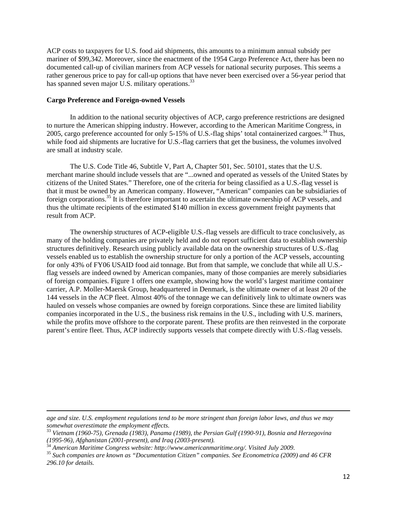ACP costs to taxpayers for U.S. food aid shipments, this amounts to a minimum annual subsidy per mariner of \$99,342. Moreover, since the enactment of the 1954 Cargo Preference Act, there has been no documented call-up of civilian mariners from ACP vessels for national security purposes. This seems a rather generous price to pay for call-up options that have never been exercised over a 56-year period that has spanned seven major U.S. military operations.<sup>33</sup>

# **Cargo Preference and Foreign-owned Vessels**

In addition to the national security objectives of ACP, cargo preference restrictions are designed to nurture the American shipping industry. However, according to the American Maritime Congress, in 2005, cargo preference accounted for only 5-15% of U.S.-flag ships' total containerized cargoes.<sup>34</sup> Thus, while food aid shipments are lucrative for U.S.-flag carriers that get the business, the volumes involved are small at industry scale.

The U.S. Code Title 46, Subtitle V, Part A, Chapter 501, Sec. 50101, states that the U.S. merchant marine should include vessels that are "...owned and operated as vessels of the United States by citizens of the United States." Therefore, one of the criteria for being classified as a U.S.-flag vessel is that it must be owned by an American company. However, "American" companies can be subsidiaries of foreign corporations.<sup>35</sup> It is therefore important to ascertain the ultimate ownership of ACP vessels, and thus the ultimate recipients of the estimated \$140 million in excess government freight payments that result from ACP.

The ownership structures of ACP-eligible U.S.-flag vessels are difficult to trace conclusively, as many of the holding companies are privately held and do not report sufficient data to establish ownership structures definitively. Research using publicly available data on the ownership structures of U.S.-flag vessels enabled us to establish the ownership structure for only a portion of the ACP vessels, accounting for only 43% of FY06 USAID food aid tonnage. But from that sample, we conclude that while all U.S. flag vessels are indeed owned by American companies, many of those companies are merely subsidiaries of foreign companies. Figure 1 offers one example, showing how the world's largest maritime container carrier, A.P. Moller-Maersk Group, headquartered in Denmark, is the ultimate owner of at least 20 of the 144 vessels in the ACP fleet. Almost 40% of the tonnage we can definitively link to ultimate owners was hauled on vessels whose companies are owned by foreign corporations. Since these are limited liability companies incorporated in the U.S., the business risk remains in the U.S., including with U.S. mariners, while the profits move offshore to the corporate parent. These profits are then reinvested in the corporate parent's entire fleet. Thus, ACP indirectly supports vessels that compete directly with U.S.-flag vessels.

<u> Andrewski politika (za obrazu pod predsjednika u predsjednika u predsjednika u predsjednika (za obrazu pod p</u>

*age and size. U.S. employment regulations tend to be more stringent than foreign labor laws, and thus we may somewhat overestimate the employment effects.* 33 *Vietnam (1960-75), Grenada (1983), Panama (1989), the Persian Gulf (1990-91), Bosnia and Herzegovina* 

<sup>(1995-96),</sup> Afghanistan (2001-present), and Iraq (2003-present).<br><sup>34</sup> American Maritime Congress website: http://www.americanmaritime.org/. Visited July 2009.<br><sup>35</sup> Such companies are known as "Documentation Citizen" compan

*<sup>296.10</sup> for details.*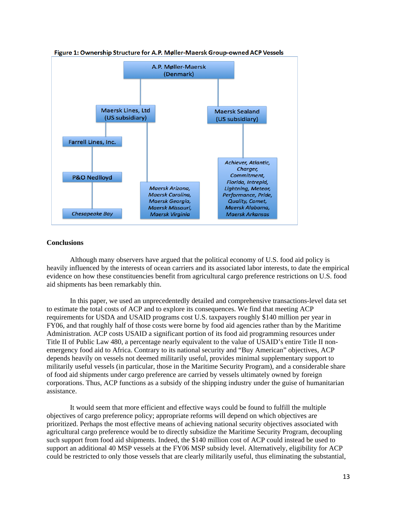

### Figure 1: Ownership Structure for A.P. Møller-Maersk Group-owned ACP Vessels

#### **Conclusions**

Although many observers have argued that the political economy of U.S. food aid policy is heavily influenced by the interests of ocean carriers and its associated labor interests, to date the empirical evidence on how these constituencies benefit from agricultural cargo preference restrictions on U.S. food aid shipments has been remarkably thin.

In this paper, we used an unprecedentedly detailed and comprehensive transactions-level data set to estimate the total costs of ACP and to explore its consequences. We find that meeting ACP requirements for USDA and USAID programs cost U.S. taxpayers roughly \$140 million per year in FY06, and that roughly half of those costs were borne by food aid agencies rather than by the Maritime Administration. ACP costs USAID a significant portion of its food aid programming resources under Title II of Public Law 480, a percentage nearly equivalent to the value of USAID's entire Title II nonemergency food aid to Africa. Contrary to its national security and "Buy American" objectives, ACP depends heavily on vessels not deemed militarily useful, provides minimal supplementary support to militarily useful vessels (in particular, those in the Maritime Security Program), and a considerable share of food aid shipments under cargo preference are carried by vessels ultimately owned by foreign corporations. Thus, ACP functions as a subsidy of the shipping industry under the guise of humanitarian assistance.

It would seem that more efficient and effective ways could be found to fulfill the multiple objectives of cargo preference policy; appropriate reforms will depend on which objectives are prioritized. Perhaps the most effective means of achieving national security objectives associated with agricultural cargo preference would be to directly subsidize the Maritime Security Program, decoupling such support from food aid shipments. Indeed, the \$140 million cost of ACP could instead be used to support an additional 40 MSP vessels at the FY06 MSP subsidy level. Alternatively, eligibility for ACP could be restricted to only those vessels that are clearly militarily useful, thus eliminating the substantial,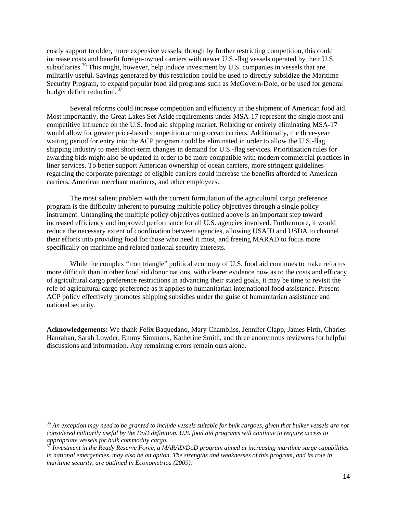costly support to older, more expensive vessels; though by further restricting competition, this could increase costs and benefit foreign-owned carriers with newer U.S.-flag vessels operated by their U.S. subsidiaries.<sup>36</sup> This might, however, help induce investment by U.S. companies in vessels that are militarily useful. Savings generated by this restriction could be used to directly subsidize the Maritime Security Program, to expand popular food aid programs such as McGovern-Dole, or be used for general budget deficit reduction.<sup>37</sup>

Several reforms could increase competition and efficiency in the shipment of American food aid. Most importantly, the Great Lakes Set Aside requirements under MSA-17 represent the single most anticompetitive influence on the U.S. food aid shipping market. Relaxing or entirely eliminating MSA-17 would allow for greater price-based competition among ocean carriers. Additionally, the three-year waiting period for entry into the ACP program could be eliminated in order to allow the U.S.-flag shipping industry to meet short-term changes in demand for U.S.-flag services. Prioritization rules for awarding bids might also be updated in order to be more compatible with modern commercial practices in liner services. To better support American ownership of ocean carriers, more stringent guidelines regarding the corporate parentage of eligible carriers could increase the benefits afforded to American carriers, American merchant mariners, and other employees.

The most salient problem with the current formulation of the agricultural cargo preference program is the difficulty inherent to pursuing multiple policy objectives through a single policy instrument. Untangling the multiple policy objectives outlined above is an important step toward increased efficiency and improved performance for all U.S. agencies involved. Furthermore, it would reduce the necessary extent of coordination between agencies, allowing USAID and USDA to channel their efforts into providing food for those who need it most, and freeing MARAD to focus more specifically on maritime and related national security interests.

While the complex "iron triangle" political economy of U.S. food aid continues to make reforms more difficult than in other food aid donor nations, with clearer evidence now as to the costs and efficacy of agricultural cargo preference restrictions in advancing their stated goals, it may be time to revisit the role of agricultural cargo preference as it applies to humanitarian international food assistance. Present ACP policy effectively promotes shipping subsidies under the guise of humanitarian assistance and national security.

**Acknowledgements:** We thank Felix Baquedano, Mary Chambliss, Jennifer Clapp, James Firth, Charles Hanrahan, Sarah Lowder, Emmy Simmons, Katherine Smith, and three anonymous reviewers for helpful discussions and information. Any remaining errors remain ours alone.

<sup>&</sup>lt;sup>36</sup> An exception may need to be granted to include vessels suitable for bulk cargoes, given that bulker vessels are not *considered militarily useful by the DoD definition. U.S. food aid programs will continue to require access to appropriate vessels for bulk commodity cargo.*

<sup>37</sup> *Investment in the Ready Reserve Force, a MARAD/DoD program aimed at increasing maritime surge capabilities in national emergencies, may also be an option. The strengths and weaknesses of this program, and its role in maritime security, are outlined in Econometrica (2009).*